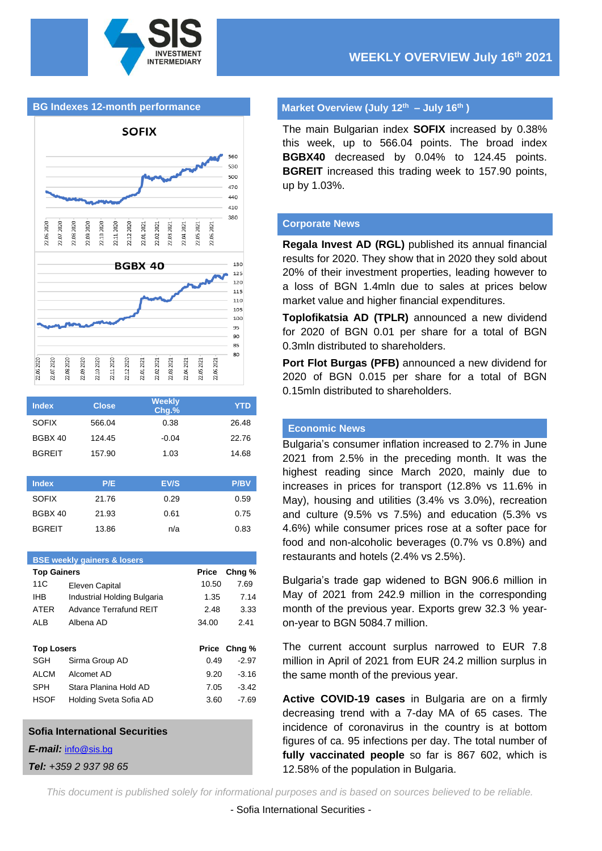

### **BG Indexes 12-month performance**



| <b>Index</b>  | <b>Close</b> | <b>Weekly</b><br>$Chg.$ % | YTD   |
|---------------|--------------|---------------------------|-------|
| <b>SOFIX</b>  | 566.04       | 0.38                      | 26.48 |
| BGBX 40       | 124.45       | $-0.04$                   | 22.76 |
| <b>BGREIT</b> | 157.90       | 1.03                      | 14.68 |
|               |              |                           |       |

| <b>Index</b>  | P/E   | EV/S | <b>P/BV</b> |
|---------------|-------|------|-------------|
| <b>SOFIX</b>  | 21.76 | 0.29 | 0.59        |
| BGBX 40       | 21.93 | 0.61 | 0.75        |
| <b>BGREIT</b> | 13.86 | n/a  | 0.83        |

#### **BSE weekly gainers & losers**

| <b>Top Gainers</b> |                             | Price | Chng %       |
|--------------------|-----------------------------|-------|--------------|
| 11C                | Eleven Capital              | 10.50 | 7.69         |
| IHB                | Industrial Holding Bulgaria | 1.35  | 7.14         |
| <b>ATFR</b>        | Advance Terrafund RFIT      | 2.48  | 3.33         |
| <b>ALB</b>         | Albena AD                   | 34.00 | 2.41         |
|                    |                             |       |              |
|                    |                             |       |              |
| <b>Top Losers</b>  |                             |       | Price Chng % |
| SGH                | Sirma Group AD              | 0.49  | $-2.97$      |
| <b>ALCM</b>        | Alcomet AD                  | 9.20  | $-3.16$      |
| <b>SPH</b>         | Stara Planina Hold AD       | 7.05  | $-3.42$      |
| <b>HSOF</b>        | Holding Sveta Sofia AD      | 3.60  | $-7.69$      |

#### **Sofia International Securities**

*E-mail:* [info@sis.bg](mailto:info@sis.bg)

*Tel: +359 2 937 98 65*

### **Market Overview (July 12th – July 16th )**

The main Bulgarian index **SOFIX** increased by 0.38% this week, up to 566.04 points. The broad index **BGBX40** decreased by 0.04% to 124.45 points. **BGREIT** increased this trading week to 157.90 points, up by 1.03%.

#### **Corporate News**

**Regala Invest AD (RGL)** published its annual financial results for 2020. They show that in 2020 they sold about 20% of their investment properties, leading however to a loss of BGN 1.4mln due to sales at prices below market value and higher financial expenditures.

**Toplofikatsia AD (TPLR)** announced a new dividend for 2020 of BGN 0.01 per share for a total of BGN 0.3mln distributed to shareholders.

**Port Flot Burgas (PFB)** announced a new dividend for 2020 of BGN 0.015 per share for a total of BGN 0.15mln distributed to shareholders.

### **Economic News**

Bulgaria's consumer inflation increased to 2.7% in June 2021 from 2.5% in the preceding month. It was the highest reading since March 2020, mainly due to increases in prices for transport (12.8% vs 11.6% in May), housing and utilities (3.4% vs 3.0%), recreation and culture (9.5% vs 7.5%) and education (5.3% vs 4.6%) while consumer prices rose at a softer pace for food and non-alcoholic beverages (0.7% vs 0.8%) and restaurants and hotels (2.4% vs 2.5%).

Bulgaria's trade gap widened to BGN 906.6 million in May of 2021 from 242.9 million in the corresponding month of the previous year. Exports grew 32.3 % yearon-year to BGN 5084.7 million.

The current account surplus narrowed to EUR 7.8 million in April of 2021 from EUR 24.2 million surplus in the same month of the previous year.

**Active COVID-19 cases** in Bulgaria are on a firmly decreasing trend with a 7-day MA of 65 cases. The incidence of coronavirus in the country is at bottom figures of ca. 95 infections per day. The total number of **fully vaccinated people** so far is 867 602, which is 12.58% of the population in Bulgaria.

*This document is published solely for informational purposes and is based on sources believed to be reliable.*